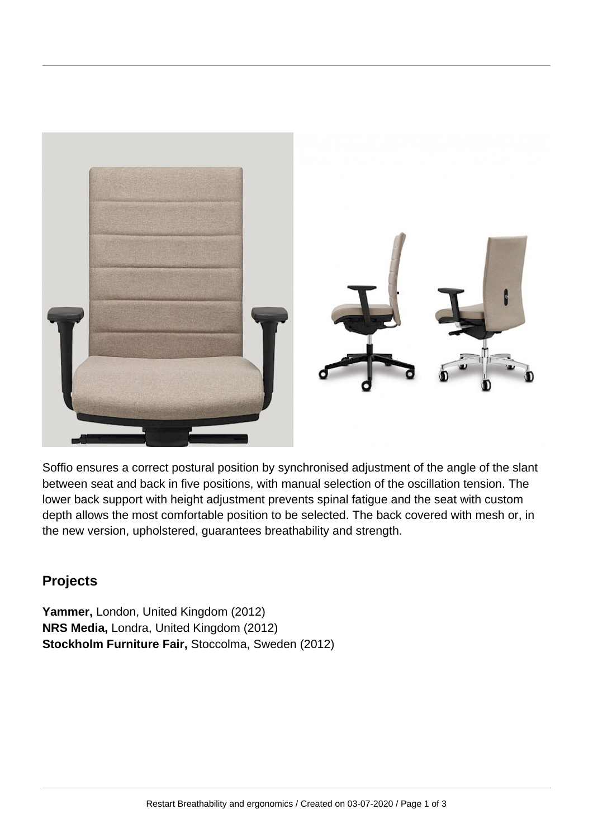

Soffio ensures a correct postural position by synchronised adjustment of the angle of the slant between seat and back in five positions, with manual selection of the oscillation tension. The lower back support with height adjustment prevents spinal fatigue and the seat with custom depth allows the most comfortable position to be selected. The back covered with mesh or, in the new version, upholstered, guarantees breathability and strength.

## **Projects**

**Yammer,** London, United Kingdom (2012) **NRS Media,** Londra, United Kingdom (2012) **Stockholm Furniture Fair,** Stoccolma, Sweden (2012)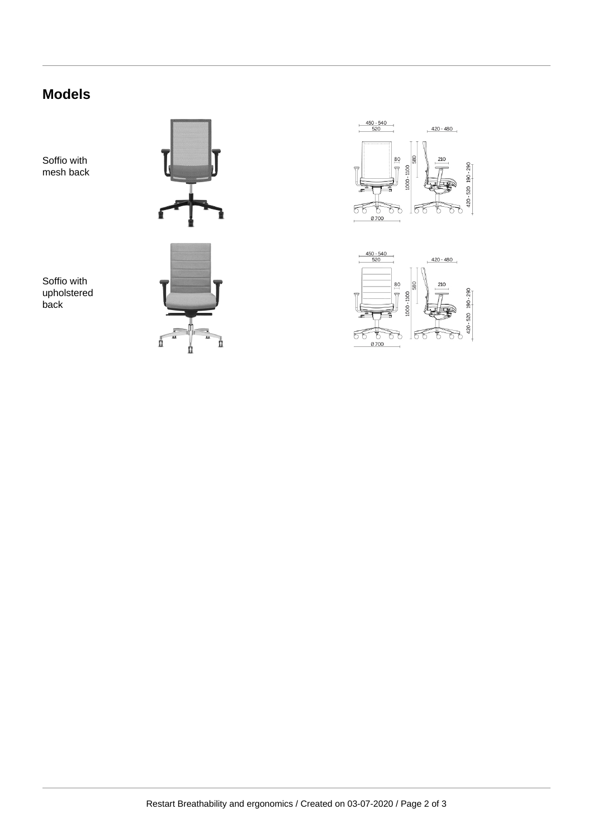# **Models**

Soffio with mesh back

Soffio with upholstered back